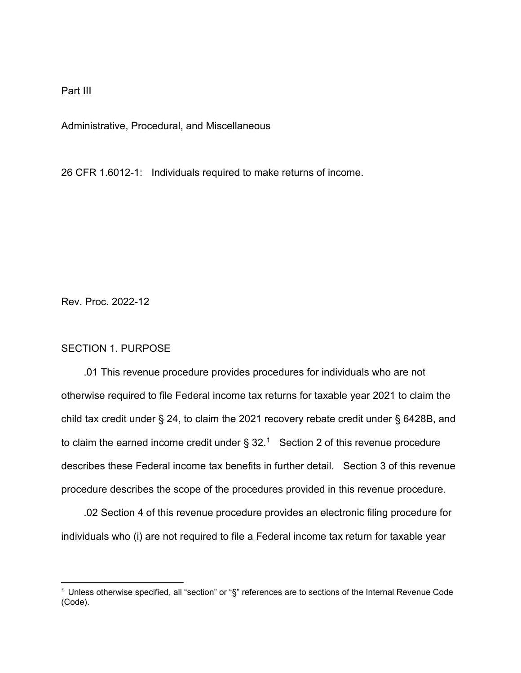Part III

Administrative, Procedural, and Miscellaneous

26 CFR 1.6012-1: Individuals required to make returns of income.

Rev. Proc. 2022-12

## SECTION 1. PURPOSE

 .01 This revenue procedure provides procedures for individuals who are not otherwise required to file Federal income tax returns for taxable year 2021 to claim the child tax credit under § 24, to claim the 2021 recovery rebate credit under § 6428B, and to claim the earned income credit under  $\S 32<sup>1</sup>$  Section 2 of this revenue procedure describes these Federal income tax benefits in further detail. Section 3 of this revenue procedure describes the scope of the procedures provided in this revenue procedure.

 .02 Section 4 of this revenue procedure provides an electronic filing procedure for individuals who (i) are not required to file a Federal income tax return for taxable year

<span id="page-0-0"></span><sup>1</sup> Unless otherwise specified, all "section" or "§" references are to sections of the Internal Revenue Code (Code).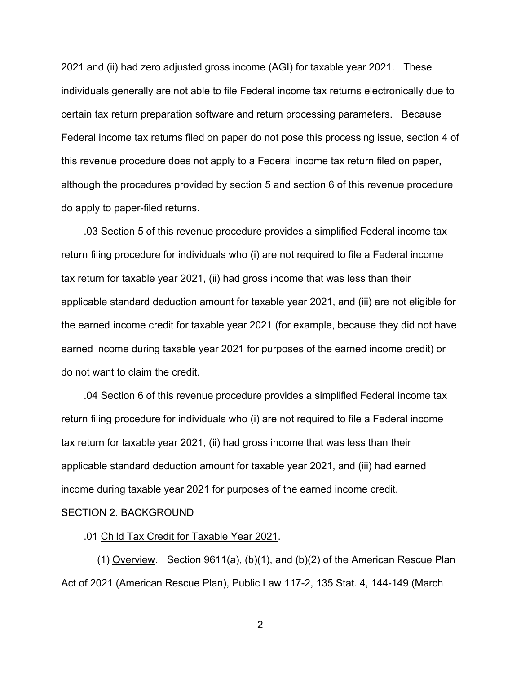2021 and (ii) had zero adjusted gross income (AGI) for taxable year 2021. These individuals generally are not able to file Federal income tax returns electronically due to certain tax return preparation software and return processing parameters. Because Federal income tax returns filed on paper do not pose this processing issue, section 4 of this revenue procedure does not apply to a Federal income tax return filed on paper, although the procedures provided by section 5 and section 6 of this revenue procedure do apply to paper-filed returns.

 .03 Section 5 of this revenue procedure provides a simplified Federal income tax return filing procedure for individuals who (i) are not required to file a Federal income tax return for taxable year 2021, (ii) had gross income that was less than their applicable standard deduction amount for taxable year 2021, and (iii) are not eligible for the earned income credit for taxable year 2021 (for example, because they did not have earned income during taxable year 2021 for purposes of the earned income credit) or do not want to claim the credit.

 .04 Section 6 of this revenue procedure provides a simplified Federal income tax return filing procedure for individuals who (i) are not required to file a Federal income tax return for taxable year 2021, (ii) had gross income that was less than their applicable standard deduction amount for taxable year 2021, and (iii) had earned income during taxable year 2021 for purposes of the earned income credit. SECTION 2. BACKGROUND

.01 Child Tax Credit for Taxable Year 2021.

 (1) Overview. Section 9611(a), (b)(1), and (b)(2) of the American Rescue Plan Act of 2021 (American Rescue Plan), Public Law 117-2, 135 Stat. 4, 144-149 (March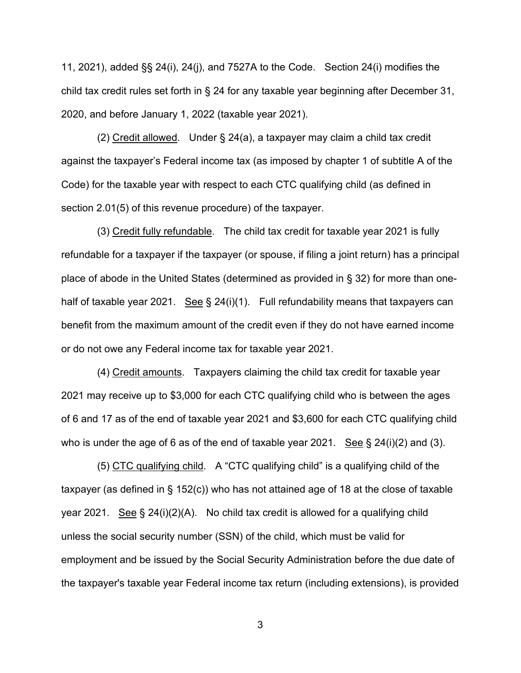11, 2021), added §§ 24(i), 24(j), and 7527A to the Code. Section 24(i) modifies the child tax credit rules set forth in § 24 for any taxable year beginning after December 31, 2020, and before January 1, 2022 (taxable year 2021).

 (2) Credit allowed. Under § 24(a), a taxpayer may claim a child tax credit against the taxpayer's Federal income tax (as imposed by chapter 1 of subtitle A of the Code) for the taxable year with respect to each CTC qualifying child (as defined in section 2.01(5) of this revenue procedure) of the taxpayer.

 (3) Credit fully refundable. The child tax credit for taxable year 2021 is fully refundable for a taxpayer if the taxpayer (or spouse, if filing a joint return) has a principal place of abode in the United States (determined as provided in § 32) for more than onehalf of taxable year 2021. See  $\S$  24(i)(1). Full refundability means that taxpayers can benefit from the maximum amount of the credit even if they do not have earned income or do not owe any Federal income tax for taxable year 2021.

 (4) Credit amounts. Taxpayers claiming the child tax credit for taxable year 2021 may receive up to \$3,000 for each CTC qualifying child who is between the ages of 6 and 17 as of the end of taxable year 2021 and \$3,600 for each CTC qualifying child who is under the age of 6 as of the end of taxable year 2021. See  $\S$  24(i)(2) and (3).

 (5) CTC qualifying child. A "CTC qualifying child" is a qualifying child of the taxpayer (as defined in § 152(c)) who has not attained age of 18 at the close of taxable year 2021. See § 24(i)(2)(A). No child tax credit is allowed for a qualifying child unless the social security number (SSN) of the child, which must be valid for employment and be issued by the Social Security Administration before the due date of the taxpayer's taxable year Federal income tax return (including extensions), is provided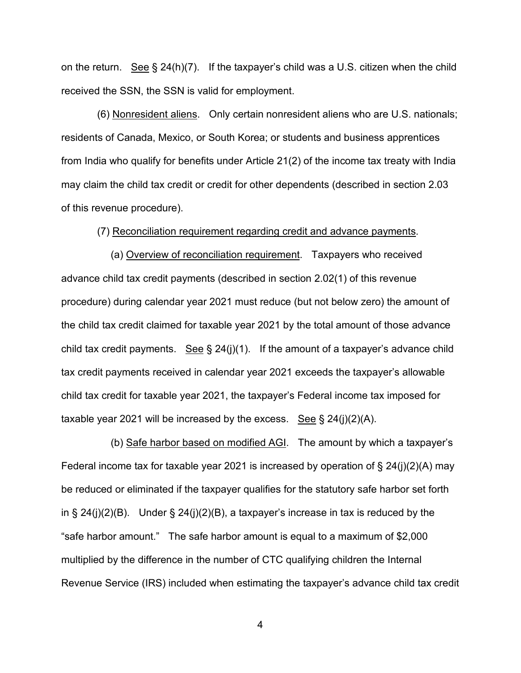on the return. See  $\S 24(h)(7)$ . If the taxpayer's child was a U.S. citizen when the child received the SSN, the SSN is valid for employment.

 (6) Nonresident aliens. Only certain nonresident aliens who are U.S. nationals; residents of Canada, Mexico, or South Korea; or students and business apprentices from India who qualify for benefits under Article 21(2) of the income tax treaty with India may claim the child tax credit or credit for other dependents (described in section 2.03 of this revenue procedure).

### (7) Reconciliation requirement regarding credit and advance payments.

 (a) Overview of reconciliation requirement. Taxpayers who received advance child tax credit payments (described in section 2.02(1) of this revenue procedure) during calendar year 2021 must reduce (but not below zero) the amount of the child tax credit claimed for taxable year 2021 by the total amount of those advance child tax credit payments. See  $\S 24(j)(1)$ . If the amount of a taxpayer's advance child tax credit payments received in calendar year 2021 exceeds the taxpayer's allowable child tax credit for taxable year 2021, the taxpayer's Federal income tax imposed for taxable year 2021 will be increased by the excess. See  $\S 24(i)(2)(A)$ .

 (b) Safe harbor based on modified AGI. The amount by which a taxpayer's Federal income tax for taxable year 2021 is increased by operation of  $\S 24(j)(2)(A)$  may be reduced or eliminated if the taxpayer qualifies for the statutory safe harbor set forth in  $\S 24(i)(2)(B)$ . Under  $\S 24(i)(2)(B)$ , a taxpayer's increase in tax is reduced by the "safe harbor amount." The safe harbor amount is equal to a maximum of \$2,000 multiplied by the difference in the number of CTC qualifying children the Internal Revenue Service (IRS) included when estimating the taxpayer's advance child tax credit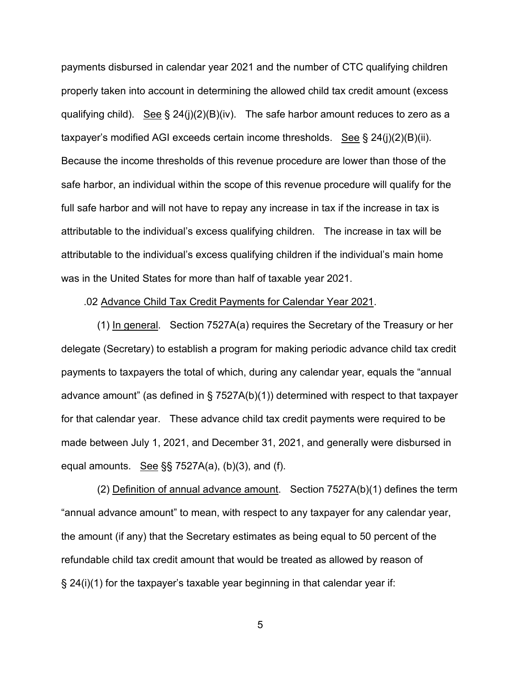payments disbursed in calendar year 2021 and the number of CTC qualifying children properly taken into account in determining the allowed child tax credit amount (excess qualifying child). See  $\S 24(j)(2)(B)(iv)$ . The safe harbor amount reduces to zero as a taxpayer's modified AGI exceeds certain income thresholds. See § 24(j)(2)(B)(ii). Because the income thresholds of this revenue procedure are lower than those of the safe harbor, an individual within the scope of this revenue procedure will qualify for the full safe harbor and will not have to repay any increase in tax if the increase in tax is attributable to the individual's excess qualifying children. The increase in tax will be attributable to the individual's excess qualifying children if the individual's main home was in the United States for more than half of taxable year 2021.

#### .02 Advance Child Tax Credit Payments for Calendar Year 2021.

 (1) In general. Section 7527A(a) requires the Secretary of the Treasury or her delegate (Secretary) to establish a program for making periodic advance child tax credit payments to taxpayers the total of which, during any calendar year, equals the "annual advance amount" (as defined in § 7527A(b)(1)) determined with respect to that taxpayer for that calendar year. These advance child tax credit payments were required to be made between July 1, 2021, and December 31, 2021, and generally were disbursed in equal amounts. See  $\S$ § 7527A(a), (b)(3), and (f).

 (2) Definition of annual advance amount. Section 7527A(b)(1) defines the term "annual advance amount" to mean, with respect to any taxpayer for any calendar year, the amount (if any) that the Secretary estimates as being equal to 50 percent of the refundable child tax credit amount that would be treated as allowed by reason of § 24(i)(1) for the taxpayer's taxable year beginning in that calendar year if: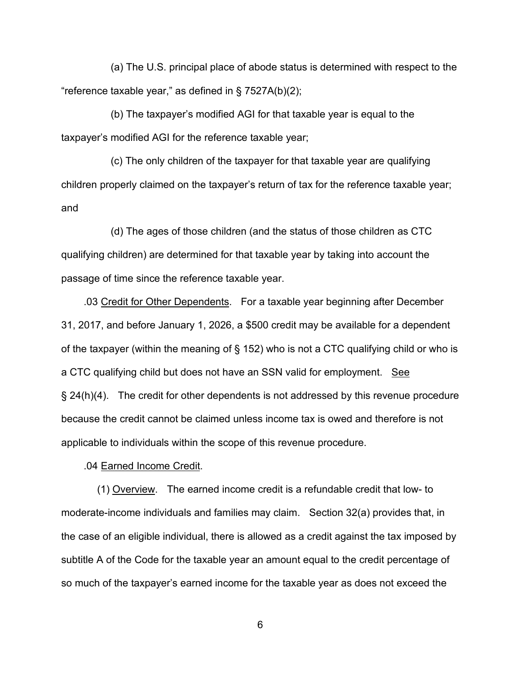(a) The U.S. principal place of abode status is determined with respect to the "reference taxable year," as defined in § 7527A(b)(2);

 (b) The taxpayer's modified AGI for that taxable year is equal to the taxpayer's modified AGI for the reference taxable year;

 (c) The only children of the taxpayer for that taxable year are qualifying children properly claimed on the taxpayer's return of tax for the reference taxable year; and

 (d) The ages of those children (and the status of those children as CTC qualifying children) are determined for that taxable year by taking into account the passage of time since the reference taxable year.

 .03 Credit for Other Dependents. For a taxable year beginning after December 31, 2017, and before January 1, 2026, a \$500 credit may be available for a dependent of the taxpayer (within the meaning of § 152) who is not a CTC qualifying child or who is a CTC qualifying child but does not have an SSN valid for employment. See § 24(h)(4). The credit for other dependents is not addressed by this revenue procedure because the credit cannot be claimed unless income tax is owed and therefore is not applicable to individuals within the scope of this revenue procedure.

.04 Earned Income Credit.

 (1) Overview. The earned income credit is a refundable credit that low- to moderate-income individuals and families may claim. Section 32(a) provides that, in the case of an eligible individual, there is allowed as a credit against the tax imposed by subtitle A of the Code for the taxable year an amount equal to the credit percentage of so much of the taxpayer's earned income for the taxable year as does not exceed the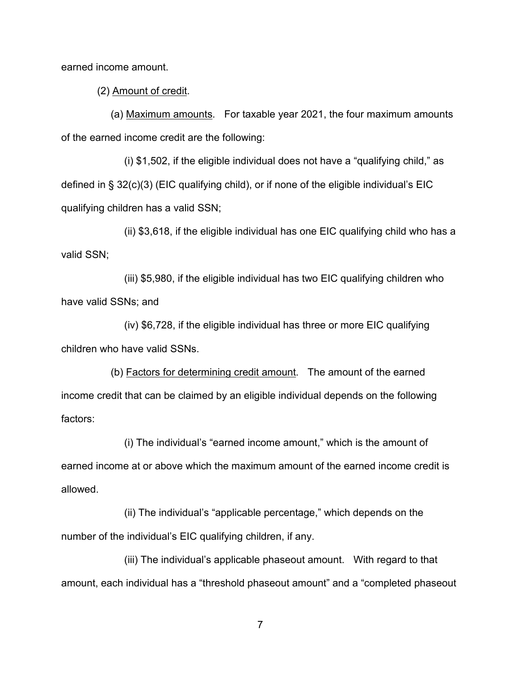earned income amount.

(2) Amount of credit.

 (a) Maximum amounts. For taxable year 2021, the four maximum amounts of the earned income credit are the following:

 (i) \$1,502, if the eligible individual does not have a "qualifying child," as defined in § 32(c)(3) (EIC qualifying child), or if none of the eligible individual's EIC qualifying children has a valid SSN;

 (ii) \$3,618, if the eligible individual has one EIC qualifying child who has a valid SSN;

 (iii) \$5,980, if the eligible individual has two EIC qualifying children who have valid SSNs; and

 (iv) \$6,728, if the eligible individual has three or more EIC qualifying children who have valid SSNs.

 (b) Factors for determining credit amount. The amount of the earned income credit that can be claimed by an eligible individual depends on the following factors:

 (i) The individual's "earned income amount," which is the amount of earned income at or above which the maximum amount of the earned income credit is allowed.

 (ii) The individual's "applicable percentage," which depends on the number of the individual's EIC qualifying children, if any.

 (iii) The individual's applicable phaseout amount. With regard to that amount, each individual has a "threshold phaseout amount" and a "completed phaseout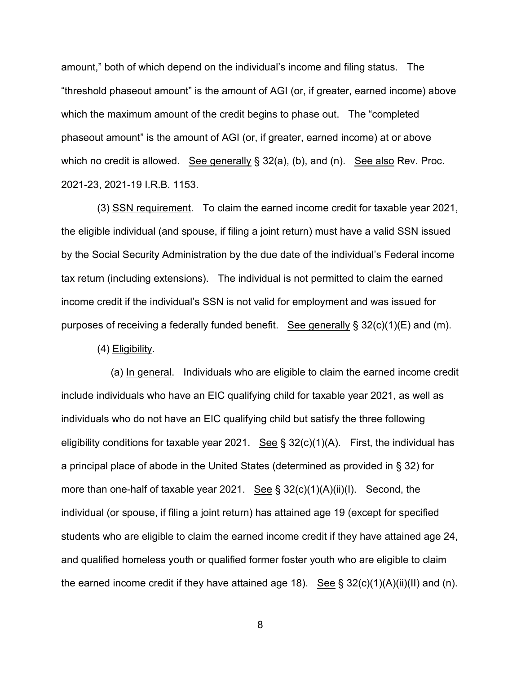amount," both of which depend on the individual's income and filing status. The "threshold phaseout amount" is the amount of AGI (or, if greater, earned income) above which the maximum amount of the credit begins to phase out. The "completed phaseout amount" is the amount of AGI (or, if greater, earned income) at or above which no credit is allowed. See generally § 32(a), (b), and (n). See also Rev. Proc. 2021-23, 2021-19 I.R.B. 1153.

 (3) SSN requirement. To claim the earned income credit for taxable year 2021, the eligible individual (and spouse, if filing a joint return) must have a valid SSN issued by the Social Security Administration by the due date of the individual's Federal income tax return (including extensions). The individual is not permitted to claim the earned income credit if the individual's SSN is not valid for employment and was issued for purposes of receiving a federally funded benefit. See generally § 32(c)(1)(E) and (m).

(4) Eligibility.

 (a) In general. Individuals who are eligible to claim the earned income credit include individuals who have an EIC qualifying child for taxable year 2021, as well as individuals who do not have an EIC qualifying child but satisfy the three following eligibility conditions for taxable year 2021. See §  $32(c)(1)(A)$ . First, the individual has a principal place of abode in the United States (determined as provided in § 32) for more than one-half of taxable year 2021. See  $\S 32(c)(1)(A)(ii)(I)$ . Second, the individual (or spouse, if filing a joint return) has attained age 19 (except for specified students who are eligible to claim the earned income credit if they have attained age 24, and qualified homeless youth or qualified former foster youth who are eligible to claim the earned income credit if they have attained age 18). See  $\S 32(c)(1)(A)(ii)(II)$  and (n).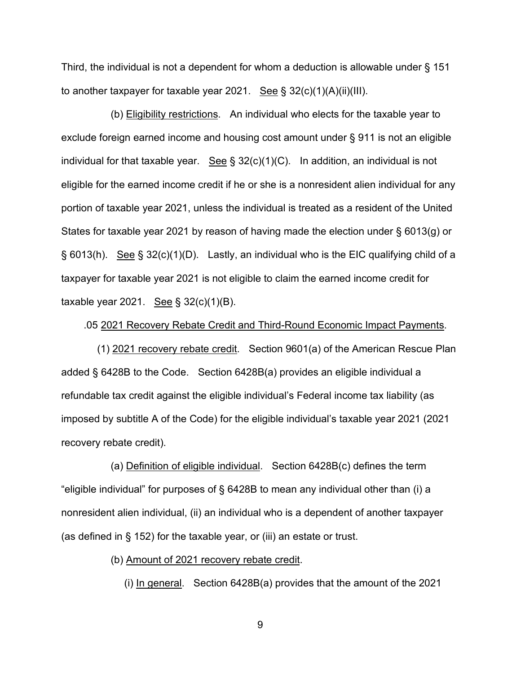Third, the individual is not a dependent for whom a deduction is allowable under § 151 to another taxpayer for taxable year 2021. See § 32(c)(1)(A)(ii)(III).

 (b) Eligibility restrictions. An individual who elects for the taxable year to exclude foreign earned income and housing cost amount under § 911 is not an eligible individual for that taxable year. See  $\S 32(c)(1)(C)$ . In addition, an individual is not eligible for the earned income credit if he or she is a nonresident alien individual for any portion of taxable year 2021, unless the individual is treated as a resident of the United States for taxable year 2021 by reason of having made the election under § 6013(g) or § 6013(h). See § 32(c)(1)(D). Lastly, an individual who is the EIC qualifying child of a taxpayer for taxable year 2021 is not eligible to claim the earned income credit for taxable year 2021. See  $\S$  32(c)(1)(B).

.05 2021 Recovery Rebate Credit and Third-Round Economic Impact Payments.

 (1) 2021 recovery rebate credit. Section 9601(a) of the American Rescue Plan added § 6428B to the Code. Section 6428B(a) provides an eligible individual a refundable tax credit against the eligible individual's Federal income tax liability (as imposed by subtitle A of the Code) for the eligible individual's taxable year 2021 (2021 recovery rebate credit).

 (a) Definition of eligible individual. Section 6428B(c) defines the term "eligible individual" for purposes of § 6428B to mean any individual other than (i) a nonresident alien individual, (ii) an individual who is a dependent of another taxpayer (as defined in § 152) for the taxable year, or (iii) an estate or trust.

(b) Amount of 2021 recovery rebate credit.

(i) In general. Section 6428B(a) provides that the amount of the 2021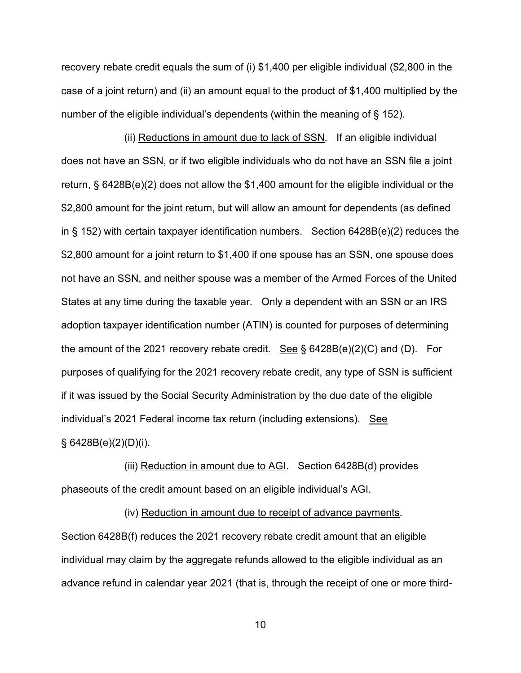recovery rebate credit equals the sum of (i) \$1,400 per eligible individual (\$2,800 in the case of a joint return) and (ii) an amount equal to the product of \$1,400 multiplied by the number of the eligible individual's dependents (within the meaning of § 152).

 (ii) Reductions in amount due to lack of SSN. If an eligible individual does not have an SSN, or if two eligible individuals who do not have an SSN file a joint return, § 6428B(e)(2) does not allow the \$1,400 amount for the eligible individual or the \$2,800 amount for the joint return, but will allow an amount for dependents (as defined in § 152) with certain taxpayer identification numbers. Section 6428B(e)(2) reduces the \$2,800 amount for a joint return to \$1,400 if one spouse has an SSN, one spouse does not have an SSN, and neither spouse was a member of the Armed Forces of the United States at any time during the taxable year. Only a dependent with an SSN or an IRS adoption taxpayer identification number (ATIN) is counted for purposes of determining the amount of the 2021 recovery rebate credit. See  $\S$  6428B(e)(2)(C) and (D). For purposes of qualifying for the 2021 recovery rebate credit, any type of SSN is sufficient if it was issued by the Social Security Administration by the due date of the eligible individual's 2021 Federal income tax return (including extensions). See  $§ 6428B(e)(2)(D)(i).$ 

 (iii) Reduction in amount due to AGI. Section 6428B(d) provides phaseouts of the credit amount based on an eligible individual's AGI.

 (iv) Reduction in amount due to receipt of advance payments. Section 6428B(f) reduces the 2021 recovery rebate credit amount that an eligible individual may claim by the aggregate refunds allowed to the eligible individual as an advance refund in calendar year 2021 (that is, through the receipt of one or more third-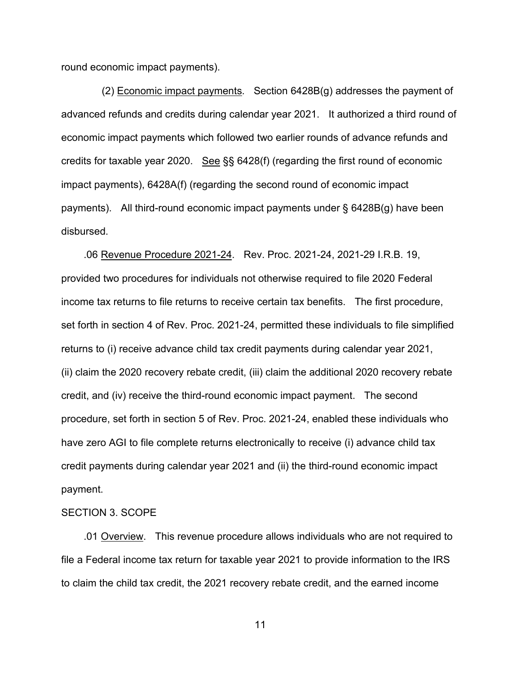round economic impact payments).

 (2) Economic impact payments. Section 6428B(g) addresses the payment of advanced refunds and credits during calendar year 2021. It authorized a third round of economic impact payments which followed two earlier rounds of advance refunds and credits for taxable year 2020. See §§ 6428(f) (regarding the first round of economic impact payments), 6428A(f) (regarding the second round of economic impact payments). All third-round economic impact payments under § 6428B(g) have been disbursed.

 .06 Revenue Procedure 2021-24. Rev. Proc. 2021-24, 2021-29 I.R.B. 19, provided two procedures for individuals not otherwise required to file 2020 Federal income tax returns to file returns to receive certain tax benefits. The first procedure, set forth in section 4 of Rev. Proc. 2021-24, permitted these individuals to file simplified returns to (i) receive advance child tax credit payments during calendar year 2021, (ii) claim the 2020 recovery rebate credit, (iii) claim the additional 2020 recovery rebate credit, and (iv) receive the third-round economic impact payment. The second procedure, set forth in section 5 of Rev. Proc. 2021-24, enabled these individuals who have zero AGI to file complete returns electronically to receive (i) advance child tax credit payments during calendar year 2021 and (ii) the third-round economic impact payment.

## SECTION 3. SCOPE

 .01 Overview. This revenue procedure allows individuals who are not required to file a Federal income tax return for taxable year 2021 to provide information to the IRS to claim the child tax credit, the 2021 recovery rebate credit, and the earned income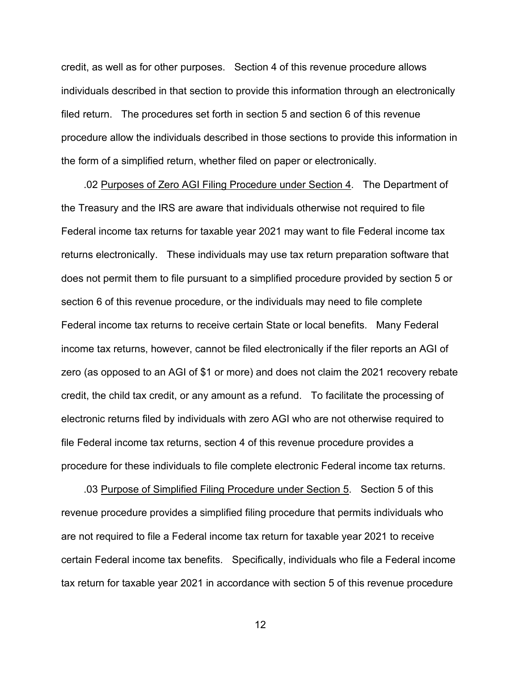credit, as well as for other purposes. Section 4 of this revenue procedure allows individuals described in that section to provide this information through an electronically filed return. The procedures set forth in section 5 and section 6 of this revenue procedure allow the individuals described in those sections to provide this information in the form of a simplified return, whether filed on paper or electronically.

 .02 Purposes of Zero AGI Filing Procedure under Section 4. The Department of the Treasury and the IRS are aware that individuals otherwise not required to file Federal income tax returns for taxable year 2021 may want to file Federal income tax returns electronically. These individuals may use tax return preparation software that does not permit them to file pursuant to a simplified procedure provided by section 5 or section 6 of this revenue procedure, or the individuals may need to file complete Federal income tax returns to receive certain State or local benefits. Many Federal income tax returns, however, cannot be filed electronically if the filer reports an AGI of zero (as opposed to an AGI of \$1 or more) and does not claim the 2021 recovery rebate credit, the child tax credit, or any amount as a refund. To facilitate the processing of electronic returns filed by individuals with zero AGI who are not otherwise required to file Federal income tax returns, section 4 of this revenue procedure provides a procedure for these individuals to file complete electronic Federal income tax returns.

 .03 Purpose of Simplified Filing Procedure under Section 5. Section 5 of this revenue procedure provides a simplified filing procedure that permits individuals who are not required to file a Federal income tax return for taxable year 2021 to receive certain Federal income tax benefits. Specifically, individuals who file a Federal income tax return for taxable year 2021 in accordance with section 5 of this revenue procedure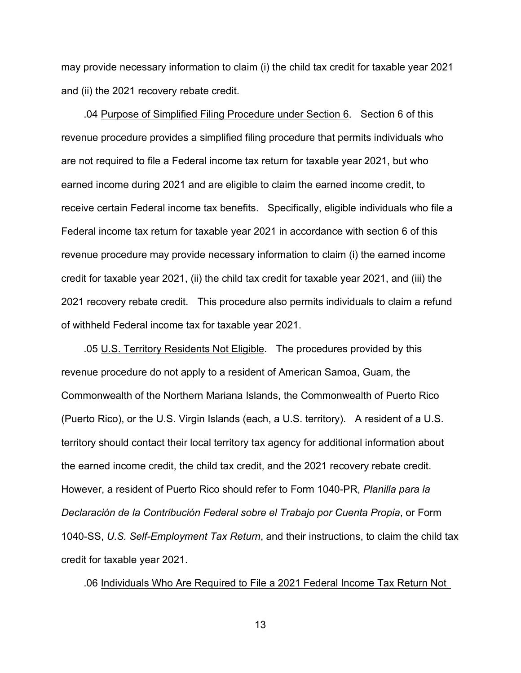may provide necessary information to claim (i) the child tax credit for taxable year 2021 and (ii) the 2021 recovery rebate credit.

 .04 Purpose of Simplified Filing Procedure under Section 6. Section 6 of this revenue procedure provides a simplified filing procedure that permits individuals who are not required to file a Federal income tax return for taxable year 2021, but who earned income during 2021 and are eligible to claim the earned income credit, to receive certain Federal income tax benefits. Specifically, eligible individuals who file a Federal income tax return for taxable year 2021 in accordance with section 6 of this revenue procedure may provide necessary information to claim (i) the earned income credit for taxable year 2021, (ii) the child tax credit for taxable year 2021, and (iii) the 2021 recovery rebate credit. This procedure also permits individuals to claim a refund of withheld Federal income tax for taxable year 2021.

 .05 U.S. Territory Residents Not Eligible. The procedures provided by this revenue procedure do not apply to a resident of American Samoa, Guam, the Commonwealth of the Northern Mariana Islands, the Commonwealth of Puerto Rico (Puerto Rico), or the U.S. Virgin Islands (each, a U.S. territory). A resident of a U.S. territory should contact their local territory tax agency for additional information about the earned income credit, the child tax credit, and the 2021 recovery rebate credit. However, a resident of Puerto Rico should refer to Form 1040-PR, *Planilla para la Declaración de la Contribución Federal sobre el Trabajo por Cuenta Propia*, or Form 1040-SS, *U.S. Self-Employment Tax Return*, and their instructions, to claim the child tax credit for taxable year 2021.

.06 Individuals Who Are Required to File a 2021 Federal Income Tax Return Not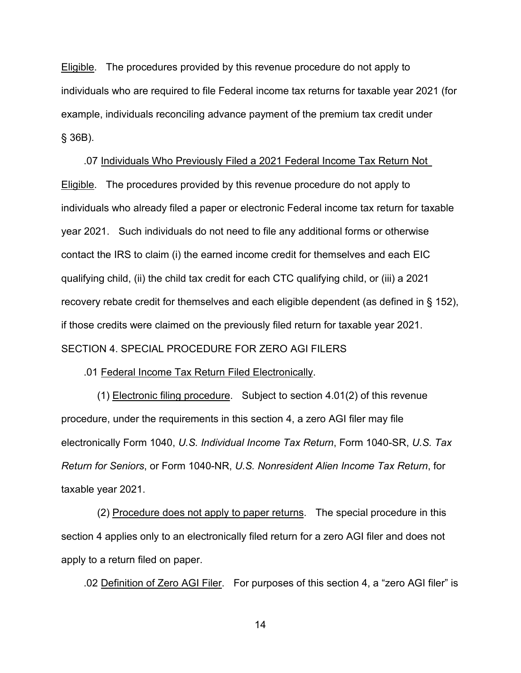Eligible. The procedures provided by this revenue procedure do not apply to individuals who are required to file Federal income tax returns for taxable year 2021 (for example, individuals reconciling advance payment of the premium tax credit under § 36B).

 .07 Individuals Who Previously Filed a 2021 Federal Income Tax Return Not **Eligible.** The procedures provided by this revenue procedure do not apply to individuals who already filed a paper or electronic Federal income tax return for taxable year 2021. Such individuals do not need to file any additional forms or otherwise contact the IRS to claim (i) the earned income credit for themselves and each EIC qualifying child, (ii) the child tax credit for each CTC qualifying child, or (iii) a 2021 recovery rebate credit for themselves and each eligible dependent (as defined in § 152), if those credits were claimed on the previously filed return for taxable year 2021. SECTION 4. SPECIAL PROCEDURE FOR ZERO AGI FILERS

.01 Federal Income Tax Return Filed Electronically.

 (1) Electronic filing procedure. Subject to section 4.01(2) of this revenue procedure, under the requirements in this section 4, a zero AGI filer may file electronically Form 1040, *U.S. Individual Income Tax Return*, Form 1040-SR, *U.S. Tax Return for Seniors*, or Form 1040-NR, *U.S. Nonresident Alien Income Tax Return*, for taxable year 2021.

 (2) Procedure does not apply to paper returns. The special procedure in this section 4 applies only to an electronically filed return for a zero AGI filer and does not apply to a return filed on paper.

.02 Definition of Zero AGI Filer. For purposes of this section 4, a "zero AGI filer" is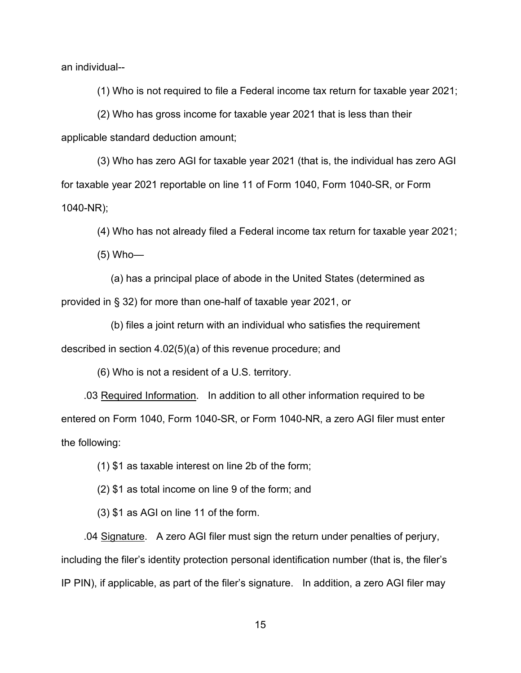an individual--

(1) Who is not required to file a Federal income tax return for taxable year 2021;

 (2) Who has gross income for taxable year 2021 that is less than their applicable standard deduction amount;

 (3) Who has zero AGI for taxable year 2021 (that is, the individual has zero AGI for taxable year 2021 reportable on line 11 of Form 1040, Form 1040-SR, or Form 1040-NR);

(4) Who has not already filed a Federal income tax return for taxable year 2021;

(5) Who—

 (a) has a principal place of abode in the United States (determined as provided in § 32) for more than one-half of taxable year 2021, or

 (b) files a joint return with an individual who satisfies the requirement described in section 4.02(5)(a) of this revenue procedure; and

(6) Who is not a resident of a U.S. territory.

 .03 Required Information. In addition to all other information required to be entered on Form 1040, Form 1040-SR, or Form 1040-NR, a zero AGI filer must enter the following:

(1) \$1 as taxable interest on line 2b of the form;

(2) \$1 as total income on line 9 of the form; and

(3) \$1 as AGI on line 11 of the form.

 .04 Signature. A zero AGI filer must sign the return under penalties of perjury, including the filer's identity protection personal identification number (that is, the filer's IP PIN), if applicable, as part of the filer's signature. In addition, a zero AGI filer may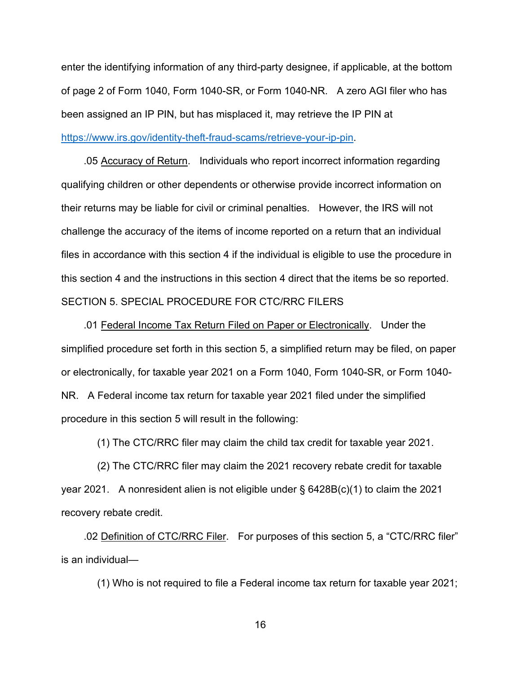enter the identifying information of any third-party designee, if applicable, at the bottom of page 2 of Form 1040, Form 1040-SR, or Form 1040-NR. A zero AGI filer who has been assigned an IP PIN, but has misplaced it, may retrieve the IP PIN at [https://www.irs.gov/identity-theft-fraud-scams/retrieve-your-ip-pin.](https://www.irs.gov/identity-theft-fraud-scams/retrieve-your-ip-pin)

 .05 Accuracy of Return. Individuals who report incorrect information regarding qualifying children or other dependents or otherwise provide incorrect information on their returns may be liable for civil or criminal penalties. However, the IRS will not challenge the accuracy of the items of income reported on a return that an individual files in accordance with this section 4 if the individual is eligible to use the procedure in this section 4 and the instructions in this section 4 direct that the items be so reported. SECTION 5. SPECIAL PROCEDURE FOR CTC/RRC FILERS

 .01 Federal Income Tax Return Filed on Paper or Electronically. Under the simplified procedure set forth in this section 5, a simplified return may be filed, on paper or electronically, for taxable year 2021 on a Form 1040, Form 1040-SR, or Form 1040- NR. A Federal income tax return for taxable year 2021 filed under the simplified procedure in this section 5 will result in the following:

(1) The CTC/RRC filer may claim the child tax credit for taxable year 2021.

 (2) The CTC/RRC filer may claim the 2021 recovery rebate credit for taxable year 2021. A nonresident alien is not eligible under § 6428B(c)(1) to claim the 2021 recovery rebate credit.

 .02 Definition of CTC/RRC Filer. For purposes of this section 5, a "CTC/RRC filer" is an individual—

(1) Who is not required to file a Federal income tax return for taxable year 2021;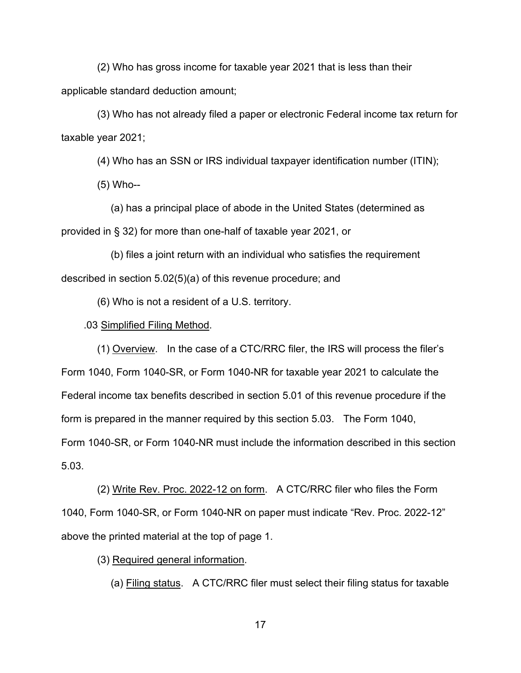(2) Who has gross income for taxable year 2021 that is less than their applicable standard deduction amount;

 (3) Who has not already filed a paper or electronic Federal income tax return for taxable year 2021;

(4) Who has an SSN or IRS individual taxpayer identification number (ITIN);

(5) Who--

 (a) has a principal place of abode in the United States (determined as provided in § 32) for more than one-half of taxable year 2021, or

 (b) files a joint return with an individual who satisfies the requirement described in section 5.02(5)(a) of this revenue procedure; and

(6) Who is not a resident of a U.S. territory.

## .03 Simplified Filing Method.

 (1) Overview. In the case of a CTC/RRC filer, the IRS will process the filer's Form 1040, Form 1040-SR, or Form 1040-NR for taxable year 2021 to calculate the Federal income tax benefits described in section 5.01 of this revenue procedure if the form is prepared in the manner required by this section 5.03. The Form 1040, Form 1040-SR, or Form 1040-NR must include the information described in this section 5.03.

 (2) Write Rev. Proc. 2022-12 on form. A CTC/RRC filer who files the Form 1040, Form 1040-SR, or Form 1040-NR on paper must indicate "Rev. Proc. 2022-12" above the printed material at the top of page 1.

(3) Required general information.

(a) Filing status. A CTC/RRC filer must select their filing status for taxable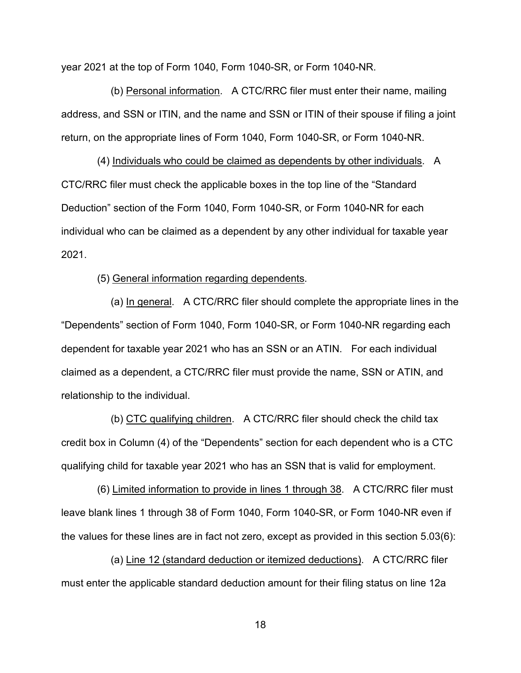year 2021 at the top of Form 1040, Form 1040-SR, or Form 1040-NR.

 (b) Personal information. A CTC/RRC filer must enter their name, mailing address, and SSN or ITIN, and the name and SSN or ITIN of their spouse if filing a joint return, on the appropriate lines of Form 1040, Form 1040-SR, or Form 1040-NR.

 (4) Individuals who could be claimed as dependents by other individuals. A CTC/RRC filer must check the applicable boxes in the top line of the "Standard Deduction" section of the Form 1040, Form 1040-SR, or Form 1040-NR for each individual who can be claimed as a dependent by any other individual for taxable year 2021.

### (5) General information regarding dependents.

 (a) In general. A CTC/RRC filer should complete the appropriate lines in the "Dependents" section of Form 1040, Form 1040-SR, or Form 1040-NR regarding each dependent for taxable year 2021 who has an SSN or an ATIN. For each individual claimed as a dependent, a CTC/RRC filer must provide the name, SSN or ATIN, and relationship to the individual.

 (b) CTC qualifying children. A CTC/RRC filer should check the child tax credit box in Column (4) of the "Dependents" section for each dependent who is a CTC qualifying child for taxable year 2021 who has an SSN that is valid for employment.

 (6) Limited information to provide in lines 1 through 38. A CTC/RRC filer must leave blank lines 1 through 38 of Form 1040, Form 1040-SR, or Form 1040-NR even if the values for these lines are in fact not zero, except as provided in this section 5.03(6):

 (a) Line 12 (standard deduction or itemized deductions). A CTC/RRC filer must enter the applicable standard deduction amount for their filing status on line 12a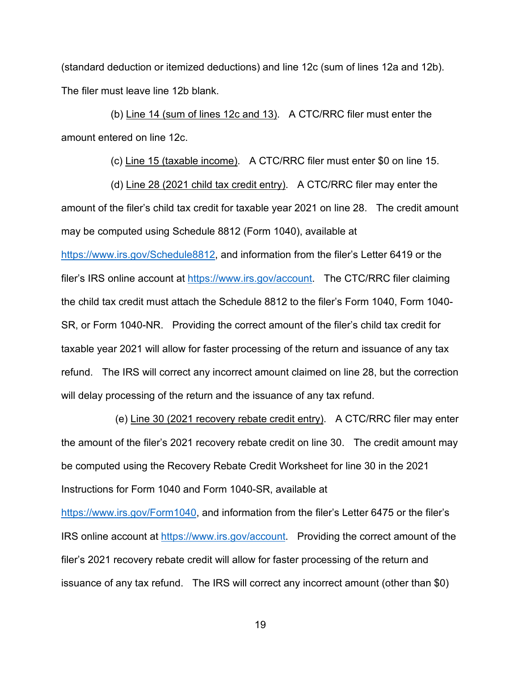(standard deduction or itemized deductions) and line 12c (sum of lines 12a and 12b). The filer must leave line 12b blank.

 (b) Line 14 (sum of lines 12c and 13). A CTC/RRC filer must enter the amount entered on line 12c.

(c) Line 15 (taxable income). A CTC/RRC filer must enter \$0 on line 15.

 (d) Line 28 (2021 child tax credit entry). A CTC/RRC filer may enter the amount of the filer's child tax credit for taxable year 2021 on line 28. The credit amount may be computed using Schedule 8812 (Form 1040), available at

[https://www.irs.gov/Schedule8812,](https://www.irs.gov/Schedule8812) and information from the filer's Letter 6419 or the filer's IRS online account at [https://www.irs.gov/account.](https://www.irs.gov/account) The CTC/RRC filer claiming the child tax credit must attach the Schedule 8812 to the filer's Form 1040, Form 1040- SR, or Form 1040-NR. Providing the correct amount of the filer's child tax credit for taxable year 2021 will allow for faster processing of the return and issuance of any tax refund. The IRS will correct any incorrect amount claimed on line 28, but the correction will delay processing of the return and the issuance of any tax refund.

 (e) Line 30 (2021 recovery rebate credit entry). A CTC/RRC filer may enter the amount of the filer's 2021 recovery rebate credit on line 30. The credit amount may be computed using the Recovery Rebate Credit Worksheet for line 30 in the 2021 Instructions for Form 1040 and Form 1040-SR, available at [https://www.irs.gov/Form1040,](https://www.irs.gov/Form1040) and information from the filer's Letter 6475 or the filer's IRS online account at [https://www.irs.gov/account.](https://www.irs.gov/account) Providing the correct amount of the filer's 2021 recovery rebate credit will allow for faster processing of the return and issuance of any tax refund. The IRS will correct any incorrect amount (other than \$0)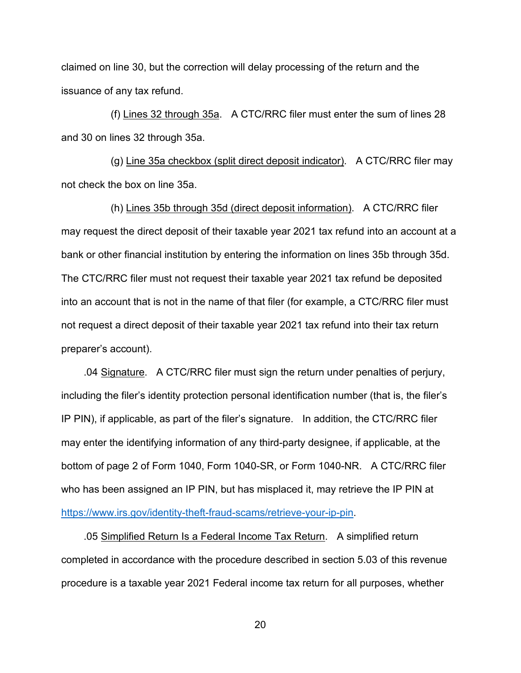claimed on line 30, but the correction will delay processing of the return and the issuance of any tax refund.

 (f) Lines 32 through 35a. A CTC/RRC filer must enter the sum of lines 28 and 30 on lines 32 through 35a.

 (g) Line 35a checkbox (split direct deposit indicator). A CTC/RRC filer may not check the box on line 35a.

 (h) Lines 35b through 35d (direct deposit information). A CTC/RRC filer may request the direct deposit of their taxable year 2021 tax refund into an account at a bank or other financial institution by entering the information on lines 35b through 35d. The CTC/RRC filer must not request their taxable year 2021 tax refund be deposited into an account that is not in the name of that filer (for example, a CTC/RRC filer must not request a direct deposit of their taxable year 2021 tax refund into their tax return preparer's account).

 .04 Signature. A CTC/RRC filer must sign the return under penalties of perjury, including the filer's identity protection personal identification number (that is, the filer's IP PIN), if applicable, as part of the filer's signature. In addition, the CTC/RRC filer may enter the identifying information of any third-party designee, if applicable, at the bottom of page 2 of Form 1040, Form 1040-SR, or Form 1040-NR. A CTC/RRC filer who has been assigned an IP PIN, but has misplaced it, may retrieve the IP PIN at [https://www.irs.gov/identity-theft-fraud-scams/retrieve-your-ip-pin.](https://www.irs.gov/identity-theft-fraud-scams/retrieve-your-ip-pin)

 .05 Simplified Return Is a Federal Income Tax Return. A simplified return completed in accordance with the procedure described in section 5.03 of this revenue procedure is a taxable year 2021 Federal income tax return for all purposes, whether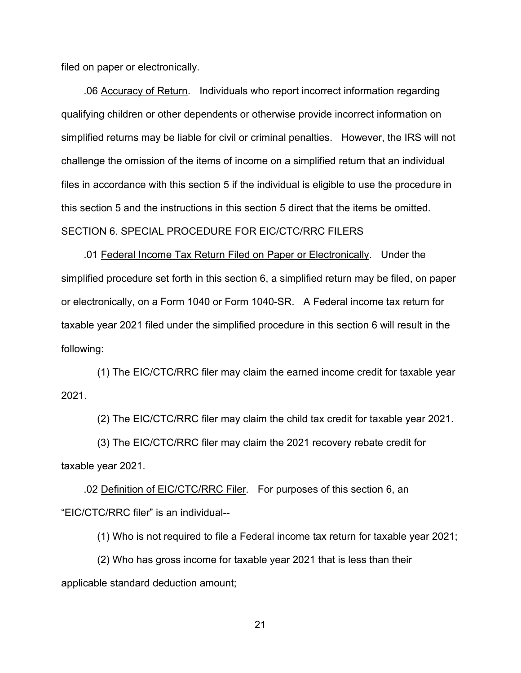filed on paper or electronically.

 .06 Accuracy of Return. Individuals who report incorrect information regarding qualifying children or other dependents or otherwise provide incorrect information on simplified returns may be liable for civil or criminal penalties. However, the IRS will not challenge the omission of the items of income on a simplified return that an individual files in accordance with this section 5 if the individual is eligible to use the procedure in this section 5 and the instructions in this section 5 direct that the items be omitted. SECTION 6. SPECIAL PROCEDURE FOR EIC/CTC/RRC FILERS

 .01 Federal Income Tax Return Filed on Paper or Electronically. Under the simplified procedure set forth in this section 6, a simplified return may be filed, on paper or electronically, on a Form 1040 or Form 1040-SR. A Federal income tax return for taxable year 2021 filed under the simplified procedure in this section 6 will result in the following:

 (1) The EIC/CTC/RRC filer may claim the earned income credit for taxable year 2021.

(2) The EIC/CTC/RRC filer may claim the child tax credit for taxable year 2021.

 (3) The EIC/CTC/RRC filer may claim the 2021 recovery rebate credit for taxable year 2021.

 .02 Definition of EIC/CTC/RRC Filer. For purposes of this section 6, an "EIC/CTC/RRC filer" is an individual--

(1) Who is not required to file a Federal income tax return for taxable year 2021;

 (2) Who has gross income for taxable year 2021 that is less than their applicable standard deduction amount;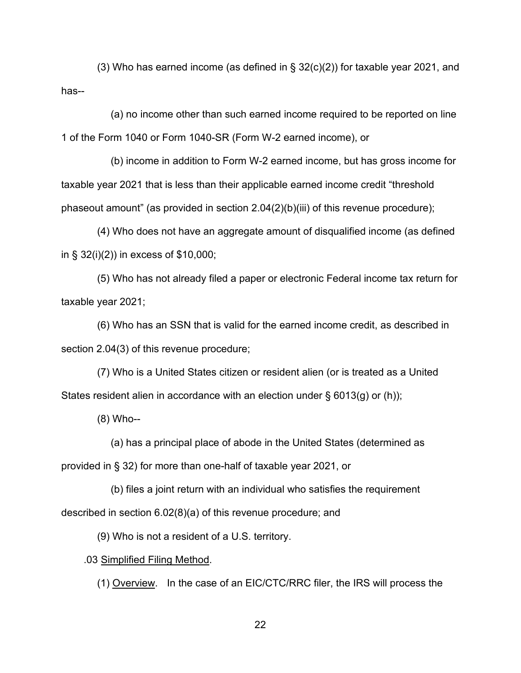(3) Who has earned income (as defined in § 32(c)(2)) for taxable year 2021, and has--

 (a) no income other than such earned income required to be reported on line 1 of the Form 1040 or Form 1040-SR (Form W-2 earned income), or

 (b) income in addition to Form W-2 earned income, but has gross income for taxable year 2021 that is less than their applicable earned income credit "threshold phaseout amount" (as provided in section  $2.04(2)(b)(iii)$  of this revenue procedure);

 (4) Who does not have an aggregate amount of disqualified income (as defined in § 32(i)(2)) in excess of \$10,000;

 (5) Who has not already filed a paper or electronic Federal income tax return for taxable year 2021;

 (6) Who has an SSN that is valid for the earned income credit, as described in section 2.04(3) of this revenue procedure;

 (7) Who is a United States citizen or resident alien (or is treated as a United States resident alien in accordance with an election under § 6013(g) or (h));

(8) Who--

 (a) has a principal place of abode in the United States (determined as provided in § 32) for more than one-half of taxable year 2021, or

 (b) files a joint return with an individual who satisfies the requirement described in section 6.02(8)(a) of this revenue procedure; and

(9) Who is not a resident of a U.S. territory.

.03 Simplified Filing Method.

(1) Overview. In the case of an EIC/CTC/RRC filer, the IRS will process the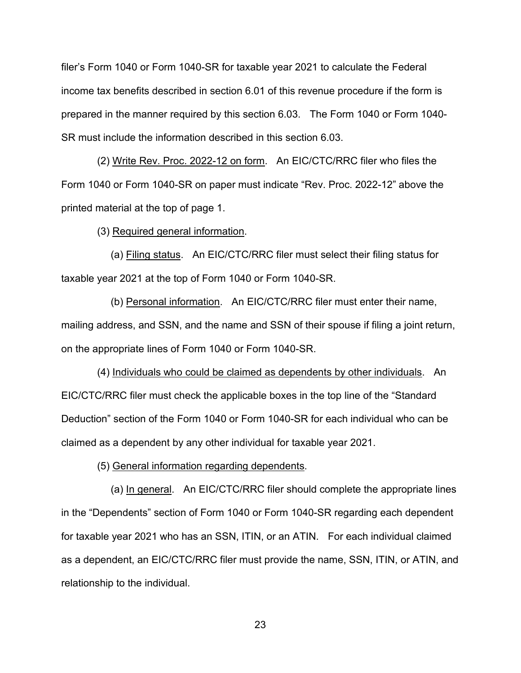filer's Form 1040 or Form 1040-SR for taxable year 2021 to calculate the Federal income tax benefits described in section 6.01 of this revenue procedure if the form is prepared in the manner required by this section 6.03. The Form 1040 or Form 1040- SR must include the information described in this section 6.03.

 (2) Write Rev. Proc. 2022-12 on form. An EIC/CTC/RRC filer who files the Form 1040 or Form 1040-SR on paper must indicate "Rev. Proc. 2022-12" above the printed material at the top of page 1.

(3) Required general information.

 (a) Filing status. An EIC/CTC/RRC filer must select their filing status for taxable year 2021 at the top of Form 1040 or Form 1040-SR.

 (b) Personal information. An EIC/CTC/RRC filer must enter their name, mailing address, and SSN, and the name and SSN of their spouse if filing a joint return, on the appropriate lines of Form 1040 or Form 1040-SR.

 (4) Individuals who could be claimed as dependents by other individuals. An EIC/CTC/RRC filer must check the applicable boxes in the top line of the "Standard Deduction" section of the Form 1040 or Form 1040-SR for each individual who can be claimed as a dependent by any other individual for taxable year 2021.

(5) General information regarding dependents.

 (a) In general. An EIC/CTC/RRC filer should complete the appropriate lines in the "Dependents" section of Form 1040 or Form 1040-SR regarding each dependent for taxable year 2021 who has an SSN, ITIN, or an ATIN. For each individual claimed as a dependent, an EIC/CTC/RRC filer must provide the name, SSN, ITIN, or ATIN, and relationship to the individual.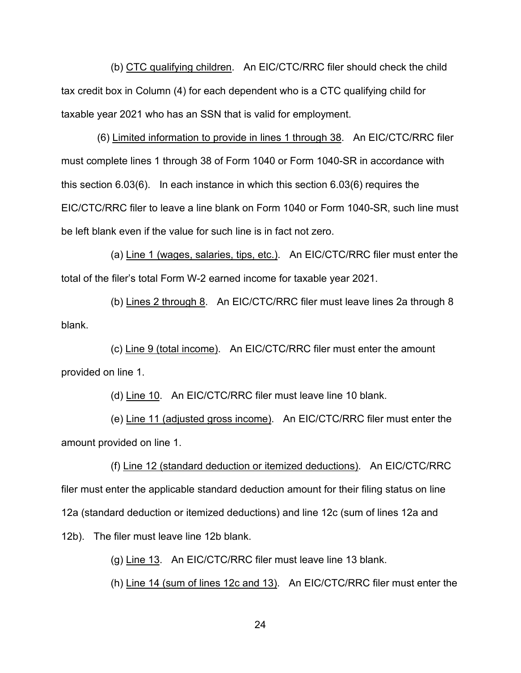(b) CTC qualifying children. An EIC/CTC/RRC filer should check the child tax credit box in Column (4) for each dependent who is a CTC qualifying child for taxable year 2021 who has an SSN that is valid for employment.

 (6) Limited information to provide in lines 1 through 38. An EIC/CTC/RRC filer must complete lines 1 through 38 of Form 1040 or Form 1040-SR in accordance with this section 6.03(6). In each instance in which this section 6.03(6) requires the EIC/CTC/RRC filer to leave a line blank on Form 1040 or Form 1040-SR, such line must be left blank even if the value for such line is in fact not zero.

 (a) Line 1 (wages, salaries, tips, etc.). An EIC/CTC/RRC filer must enter the total of the filer's total Form W-2 earned income for taxable year 2021.

 (b) Lines 2 through 8. An EIC/CTC/RRC filer must leave lines 2a through 8 blank.

 (c) Line 9 (total income). An EIC/CTC/RRC filer must enter the amount provided on line 1.

(d) Line 10. An EIC/CTC/RRC filer must leave line 10 blank.

 (e) Line 11 (adjusted gross income). An EIC/CTC/RRC filer must enter the amount provided on line 1.

 (f) Line 12 (standard deduction or itemized deductions). An EIC/CTC/RRC filer must enter the applicable standard deduction amount for their filing status on line 12a (standard deduction or itemized deductions) and line 12c (sum of lines 12a and 12b). The filer must leave line 12b blank.

(g) Line 13. An EIC/CTC/RRC filer must leave line 13 blank.

(h) Line 14 (sum of lines 12c and 13). An EIC/CTC/RRC filer must enter the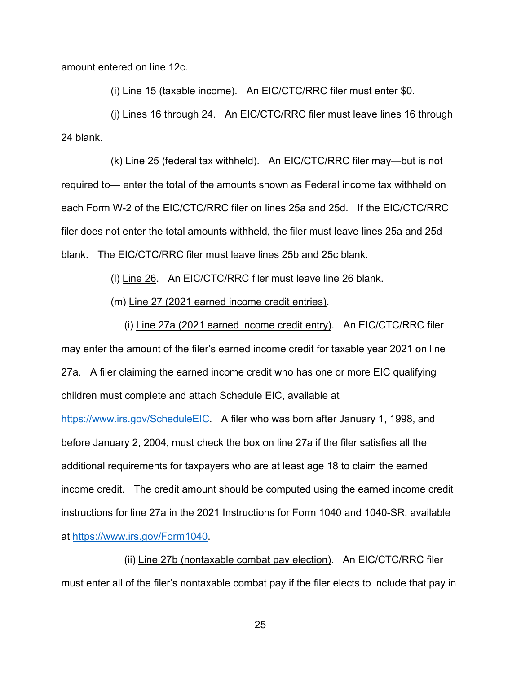amount entered on line 12c.

(i) Line 15 (taxable income). An EIC/CTC/RRC filer must enter \$0.

 (j) Lines 16 through 24. An EIC/CTC/RRC filer must leave lines 16 through 24 blank.

 (k) Line 25 (federal tax withheld). An EIC/CTC/RRC filer may—but is not required to— enter the total of the amounts shown as Federal income tax withheld on each Form W-2 of the EIC/CTC/RRC filer on lines 25a and 25d. If the EIC/CTC/RRC filer does not enter the total amounts withheld, the filer must leave lines 25a and 25d blank. The EIC/CTC/RRC filer must leave lines 25b and 25c blank.

(l) Line 26. An EIC/CTC/RRC filer must leave line 26 blank.

(m) Line 27 (2021 earned income credit entries).

 (i) Line 27a (2021 earned income credit entry). An EIC/CTC/RRC filer may enter the amount of the filer's earned income credit for taxable year 2021 on line 27a. A filer claiming the earned income credit who has one or more EIC qualifying children must complete and attach Schedule EIC, available at

[https://www.irs.gov/ScheduleEIC.](https://www.irs.gov/ScheduleEIC) A filer who was born after January 1, 1998, and before January 2, 2004, must check the box on line 27a if the filer satisfies all the additional requirements for taxpayers who are at least age 18 to claim the earned income credit. The credit amount should be computed using the earned income credit instructions for line 27a in the 2021 Instructions for Form 1040 and 1040-SR, available at [https://www.irs.gov/Form1040.](https://www.irs.gov/Form1040)

 (ii) Line 27b (nontaxable combat pay election). An EIC/CTC/RRC filer must enter all of the filer's nontaxable combat pay if the filer elects to include that pay in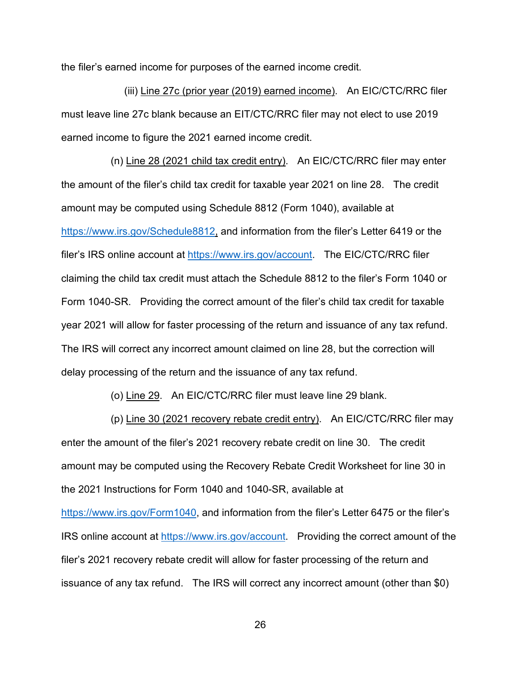the filer's earned income for purposes of the earned income credit.

 (iii) Line 27c (prior year (2019) earned income). An EIC/CTC/RRC filer must leave line 27c blank because an EIT/CTC/RRC filer may not elect to use 2019 earned income to figure the 2021 earned income credit.

 (n) Line 28 (2021 child tax credit entry). An EIC/CTC/RRC filer may enter the amount of the filer's child tax credit for taxable year 2021 on line 28. The credit amount may be computed using Schedule 8812 (Form 1040), available at [https://www.irs.gov/Schedule8812,](https://www.irs.gov/Schedule8812) and information from the filer's Letter 6419 or the filer's IRS online account at [https://www.irs.gov/account.](https://www.irs.gov/account) The EIC/CTC/RRC filer claiming the child tax credit must attach the Schedule 8812 to the filer's Form 1040 or Form 1040-SR. Providing the correct amount of the filer's child tax credit for taxable year 2021 will allow for faster processing of the return and issuance of any tax refund. The IRS will correct any incorrect amount claimed on line 28, but the correction will delay processing of the return and the issuance of any tax refund.

(o) Line 29. An EIC/CTC/RRC filer must leave line 29 blank.

 (p) Line 30 (2021 recovery rebate credit entry). An EIC/CTC/RRC filer may enter the amount of the filer's 2021 recovery rebate credit on line 30. The credit amount may be computed using the Recovery Rebate Credit Worksheet for line 30 in the 2021 Instructions for Form 1040 and 1040-SR, available at [https://www.irs.gov/Form1040,](https://www.irs.gov/Form1040) and information from the filer's Letter 6475 or the filer's IRS online account at [https://www.irs.gov/account.](https://www.irs.gov/account) Providing the correct amount of the filer's 2021 recovery rebate credit will allow for faster processing of the return and issuance of any tax refund. The IRS will correct any incorrect amount (other than \$0)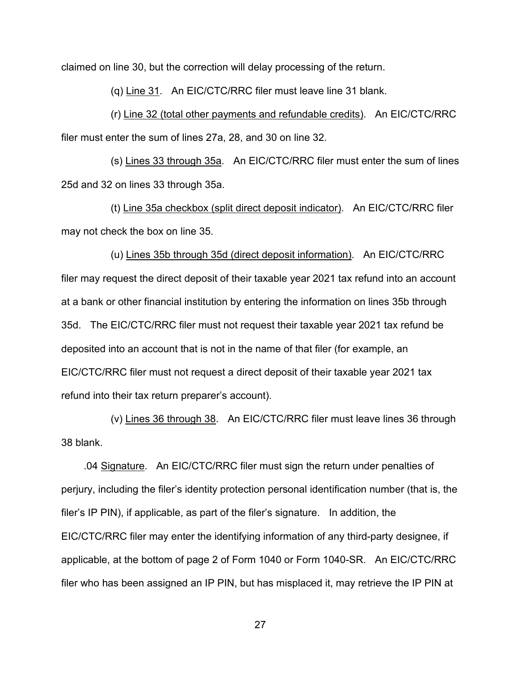claimed on line 30, but the correction will delay processing of the return.

(q) Line 31. An EIC/CTC/RRC filer must leave line 31 blank.

 (r) Line 32 (total other payments and refundable credits). An EIC/CTC/RRC filer must enter the sum of lines 27a, 28, and 30 on line 32.

 (s) Lines 33 through 35a. An EIC/CTC/RRC filer must enter the sum of lines 25d and 32 on lines 33 through 35a.

 (t) Line 35a checkbox (split direct deposit indicator). An EIC/CTC/RRC filer may not check the box on line 35.

 (u) Lines 35b through 35d (direct deposit information). An EIC/CTC/RRC filer may request the direct deposit of their taxable year 2021 tax refund into an account at a bank or other financial institution by entering the information on lines 35b through 35d. The EIC/CTC/RRC filer must not request their taxable year 2021 tax refund be deposited into an account that is not in the name of that filer (for example, an EIC/CTC/RRC filer must not request a direct deposit of their taxable year 2021 tax refund into their tax return preparer's account).

 (v) Lines 36 through 38. An EIC/CTC/RRC filer must leave lines 36 through 38 blank.

 .04 Signature. An EIC/CTC/RRC filer must sign the return under penalties of perjury, including the filer's identity protection personal identification number (that is, the filer's IP PIN), if applicable, as part of the filer's signature. In addition, the EIC/CTC/RRC filer may enter the identifying information of any third-party designee, if applicable, at the bottom of page 2 of Form 1040 or Form 1040-SR. An EIC/CTC/RRC filer who has been assigned an IP PIN, but has misplaced it, may retrieve the IP PIN at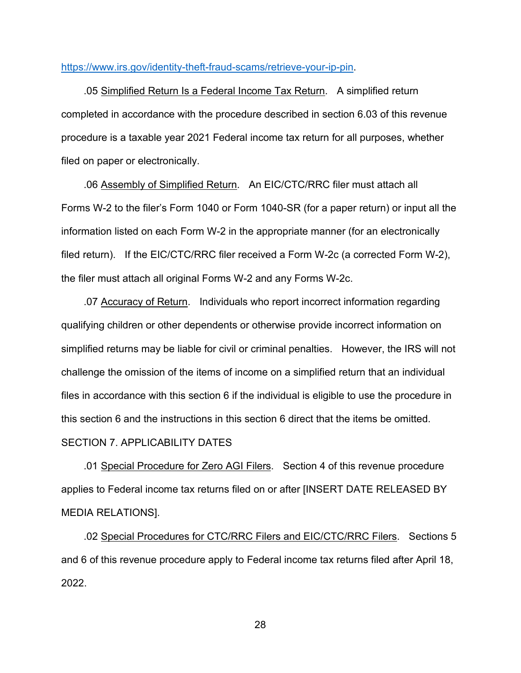### [https://www.irs.gov/identity-theft-fraud-scams/retrieve-your-ip-pin.](https://www.irs.gov/identity-theft-fraud-scams/retrieve-your-ip-pin)

 .05 Simplified Return Is a Federal Income Tax Return. A simplified return completed in accordance with the procedure described in section 6.03 of this revenue procedure is a taxable year 2021 Federal income tax return for all purposes, whether filed on paper or electronically.

 .06 Assembly of Simplified Return. An EIC/CTC/RRC filer must attach all Forms W-2 to the filer's Form 1040 or Form 1040-SR (for a paper return) or input all the information listed on each Form W-2 in the appropriate manner (for an electronically filed return). If the EIC/CTC/RRC filer received a Form W-2c (a corrected Form W-2), the filer must attach all original Forms W-2 and any Forms W-2c.

 .07 Accuracy of Return. Individuals who report incorrect information regarding qualifying children or other dependents or otherwise provide incorrect information on simplified returns may be liable for civil or criminal penalties. However, the IRS will not challenge the omission of the items of income on a simplified return that an individual files in accordance with this section 6 if the individual is eligible to use the procedure in this section 6 and the instructions in this section 6 direct that the items be omitted. SECTION 7. APPLICABILITY DATES

 .01 Special Procedure for Zero AGI Filers. Section 4 of this revenue procedure applies to Federal income tax returns filed on or after [INSERT DATE RELEASED BY MEDIA RELATIONS].

 .02 Special Procedures for CTC/RRC Filers and EIC/CTC/RRC Filers. Sections 5 and 6 of this revenue procedure apply to Federal income tax returns filed after April 18, 2022.